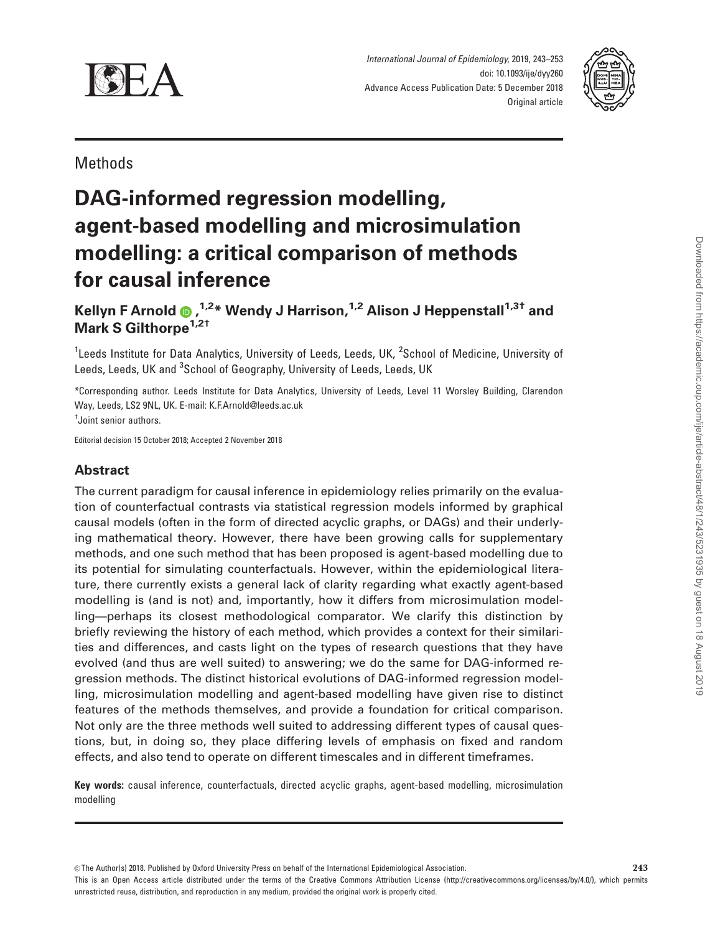



**Methods** 

# DAG-informed regression modelling, agent-based modelling and microsimulation modelling: a critical comparison of methods for causal inference

Kellyn F Arnold **®** ,<sup>1,2</sup>\* Wendy J Harrison,<sup>1,2</sup> Alison J Heppenstall<sup>1,3†</sup> and Mark S Gilthorpe<sup>1,2†</sup>

<sup>1</sup>Leeds Institute for Data Analytics, University of Leeds, Leeds, UK, <sup>2</sup>School of Medicine, University of Leeds, Leeds, UK and <sup>3</sup>School of Geography, University of Leeds, Leeds, UK

\*Corresponding author. Leeds Institute for Data Analytics, University of Leeds, Level 11 Worsley Building, Clarendon Way, Leeds, LS2 9NL, UK. E-mail: K.F.Arnold@leeds.ac.uk

† Joint senior authors.

Editorial decision 15 October 2018; Accepted 2 November 2018

## Abstract

The current paradigm for causal inference in epidemiology relies primarily on the evaluation of counterfactual contrasts via statistical regression models informed by graphical causal models (often in the form of directed acyclic graphs, or DAGs) and their underlying mathematical theory. However, there have been growing calls for supplementary methods, and one such method that has been proposed is agent-based modelling due to its potential for simulating counterfactuals. However, within the epidemiological literature, there currently exists a general lack of clarity regarding what exactly agent-based modelling is (and is not) and, importantly, how it differs from microsimulation modelling—perhaps its closest methodological comparator. We clarify this distinction by briefly reviewing the history of each method, which provides a context for their similarities and differences, and casts light on the types of research questions that they have evolved (and thus are well suited) to answering; we do the same for DAG-informed regression methods. The distinct historical evolutions of DAG-informed regression modelling, microsimulation modelling and agent-based modelling have given rise to distinct features of the methods themselves, and provide a foundation for critical comparison. Not only are the three methods well suited to addressing different types of causal questions, but, in doing so, they place differing levels of emphasis on fixed and random effects, and also tend to operate on different timescales and in different timeframes.

Key words: causal inference, counterfactuals, directed acyclic graphs, agent-based modelling, microsimulation modelling

This is an Open Access article distributed under the terms of the Creative Commons Attribution License (http://creativecommons.org/licenses/by/4.0/), which permits unrestricted reuse, distribution, and reproduction in any medium, provided the original work is properly cited.

<sup>©</sup> The Author(s) 2018. Published by Oxford University Press on behalf of the International Epidemiological Association. 2013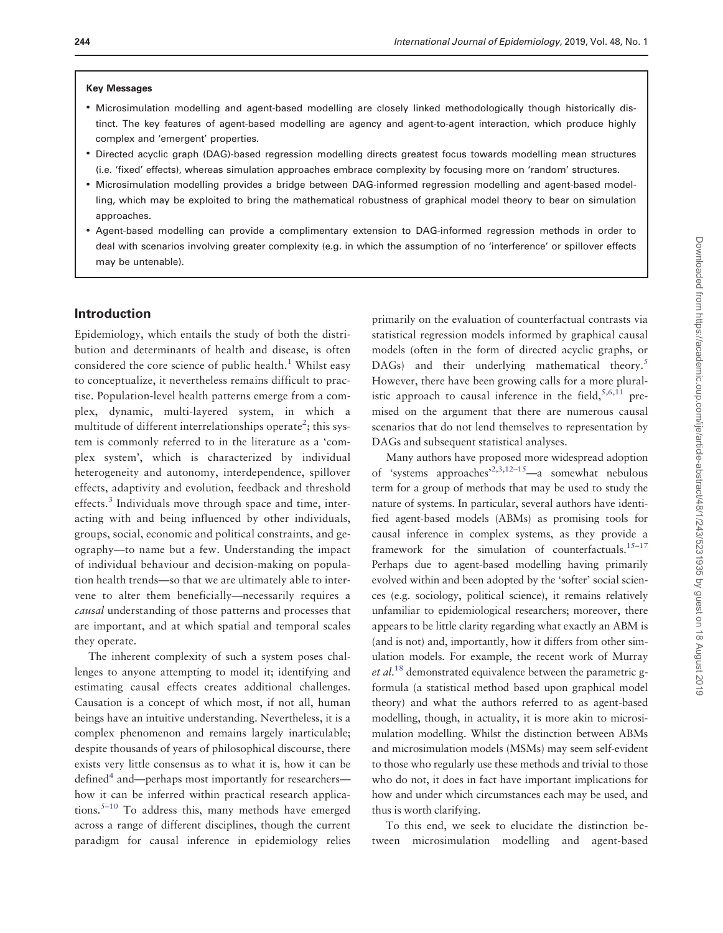#### <span id="page-1-0"></span>Key Messages

- Microsimulation modelling and agent-based modelling are closely linked methodologically though historically distinct. The key features of agent-based modelling are agency and agent-to-agent interaction, which produce highly complex and 'emergent' properties.
- Directed acyclic graph (DAG)-based regression modelling directs greatest focus towards modelling mean structures (i.e. 'fixed' effects), whereas simulation approaches embrace complexity by focusing more on 'random' structures.
- Microsimulation modelling provides a bridge between DAG-informed regression modelling and agent-based modelling, which may be exploited to bring the mathematical robustness of graphical model theory to bear on simulation approaches.
- Agent-based modelling can provide a complimentary extension to DAG-informed regression methods in order to deal with scenarios involving greater complexity (e.g. in which the assumption of no 'interference' or spillover effects may be untenable).

#### Introduction

Epidemiology, which entails the study of both the distribution and determinants of health and disease, is often considered the core science of public health.<sup>[1](#page-9-0)</sup> Whilst easy to conceptualize, it nevertheless remains difficult to practise. Population-level health patterns emerge from a complex, dynamic, multi-layered system, in which a multitude of different interrelationships operate<sup>2</sup>; this system is commonly referred to in the literature as a 'complex system', which is characterized by individual heterogeneity and autonomy, interdependence, spillover effects, adaptivity and evolution, feedback and threshold effects. $3$  Individuals move through space and time, interacting with and being influenced by other individuals, groups, social, economic and political constraints, and geography—to name but a few. Understanding the impact of individual behaviour and decision-making on population health trends—so that we are ultimately able to intervene to alter them beneficially—necessarily requires a causal understanding of those patterns and processes that are important, and at which spatial and temporal scales they operate.

The inherent complexity of such a system poses challenges to anyone attempting to model it; identifying and estimating causal effects creates additional challenges. Causation is a concept of which most, if not all, human beings have an intuitive understanding. Nevertheless, it is a complex phenomenon and remains largely inarticulable; despite thousands of years of philosophical discourse, there exists very little consensus as to what it is, how it can be defined<sup>4</sup> and—perhaps most importantly for researchers how it can be inferred within practical research applica-tions.<sup>[5–10](#page-9-0)</sup> To address this, many methods have emerged across a range of different disciplines, though the current paradigm for causal inference in epidemiology relies

primarily on the evaluation of counterfactual contrasts via statistical regression models informed by graphical causal models (often in the form of directed acyclic graphs, or DAGs) and their underlying mathematical theory.<sup>[5](#page-9-0)</sup> However, there have been growing calls for a more pluralistic approach to causal inference in the field,  $5,6,11$  premised on the argument that there are numerous causal scenarios that do not lend themselves to representation by DAGs and subsequent statistical analyses.

Many authors have proposed more widespread adoption of 'systems approaches['2,3,12–15—](#page-9-0)a somewhat nebulous term for a group of methods that may be used to study the nature of systems. In particular, several authors have identified agent-based models (ABMs) as promising tools for causal inference in complex systems, as they provide a framework for the simulation of counterfactuals.<sup>[15](#page-9-0)–[17](#page-9-0)</sup> Perhaps due to agent-based modelling having primarily evolved within and been adopted by the 'softer' social sciences (e.g. sociology, political science), it remains relatively unfamiliar to epidemiological researchers; moreover, there appears to be little clarity regarding what exactly an ABM is (and is not) and, importantly, how it differs from other simulation models. For example, the recent work of Murray et  $al$ .<sup>[18](#page-9-0)</sup> demonstrated equivalence between the parametric gformula (a statistical method based upon graphical model theory) and what the authors referred to as agent-based modelling, though, in actuality, it is more akin to microsimulation modelling. Whilst the distinction between ABMs and microsimulation models (MSMs) may seem self-evident to those who regularly use these methods and trivial to those who do not, it does in fact have important implications for how and under which circumstances each may be used, and thus is worth clarifying.

To this end, we seek to elucidate the distinction between microsimulation modelling and agent-based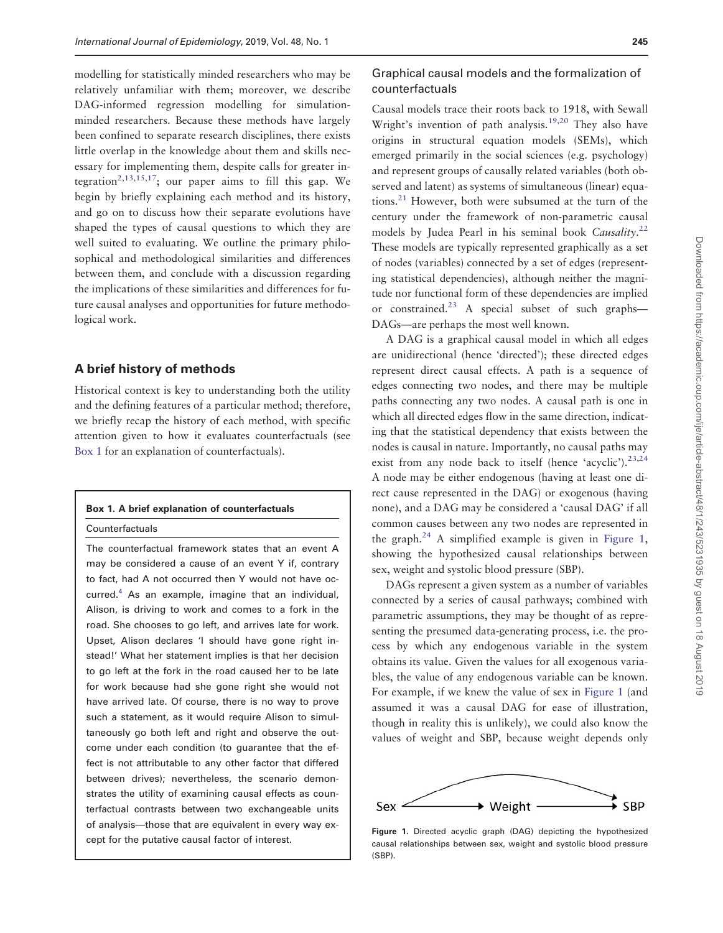<span id="page-2-0"></span>modelling for statistically minded researchers who may be relatively unfamiliar with them; moreover, we describe DAG-informed regression modelling for simulationminded researchers. Because these methods have largely been confined to separate research disciplines, there exists little overlap in the knowledge about them and skills necessary for implementing them, despite calls for greater integration<sup>2,13,15,17</sup>; our paper aims to fill this gap. We begin by briefly explaining each method and its history, and go on to discuss how their separate evolutions have shaped the types of causal questions to which they are well suited to evaluating. We outline the primary philosophical and methodological similarities and differences between them, and conclude with a discussion regarding the implications of these similarities and differences for future causal analyses and opportunities for future methodological work.

#### A brief history of methods

Historical context is key to understanding both the utility and the defining features of a particular method; therefore, we briefly recap the history of each method, with specific attention given to how it evaluates counterfactuals (see Box 1 for an explanation of counterfactuals).

#### Box 1. A brief explanation of counterfactuals

Counterfactuals

The counterfactual framework states that an event A may be considered a cause of an event Y if, contrary to fact, had A not occurred then Y would not have occurred[.4](#page-9-0) As an example, imagine that an individual, Alison, is driving to work and comes to a fork in the road. She chooses to go left, and arrives late for work. Upset, Alison declares 'I should have gone right instead!' What her statement implies is that her decision to go left at the fork in the road caused her to be late for work because had she gone right she would not have arrived late. Of course, there is no way to prove such a statement, as it would require Alison to simultaneously go both left and right and observe the outcome under each condition (to guarantee that the effect is not attributable to any other factor that differed between drives); nevertheless, the scenario demonstrates the utility of examining causal effects as counterfactual contrasts between two exchangeable units of analysis—those that are equivalent in every way except for the putative causal factor of interest.

#### Graphical causal models and the formalization of counterfactuals

Causal models trace their roots back to 1918, with Sewall Wright's invention of path analysis.<sup>19,[20](#page-9-0)</sup> They also have origins in structural equation models (SEMs), which emerged primarily in the social sciences (e.g. psychology) and represent groups of causally related variables (both observed and latent) as systems of simultaneous (linear) equations.[21](#page-9-0) However, both were subsumed at the turn of the century under the framework of non-parametric causal models by Judea Pearl in his seminal book Causality.<sup>[22](#page-9-0)</sup> These models are typically represented graphically as a set of nodes (variables) connected by a set of edges (representing statistical dependencies), although neither the magnitude nor functional form of these dependencies are implied or constrained.<sup>[23](#page-9-0)</sup> A special subset of such graphs— DAGs—are perhaps the most well known.

A DAG is a graphical causal model in which all edges are unidirectional (hence 'directed'); these directed edges represent direct causal effects. A path is a sequence of edges connecting two nodes, and there may be multiple paths connecting any two nodes. A causal path is one in which all directed edges flow in the same direction, indicating that the statistical dependency that exists between the nodes is causal in nature. Importantly, no causal paths may exist from any node back to itself (hence 'acyclic').<sup>[23,24](#page-9-0)</sup> A node may be either endogenous (having at least one direct cause represented in the DAG) or exogenous (having none), and a DAG may be considered a 'causal DAG' if all common causes between any two nodes are represented in the graph.<sup>[24](#page-9-0)</sup> A simplified example is given in Figure 1, showing the hypothesized causal relationships between sex, weight and systolic blood pressure (SBP).

DAGs represent a given system as a number of variables connected by a series of causal pathways; combined with parametric assumptions, they may be thought of as representing the presumed data-generating process, i.e. the process by which any endogenous variable in the system obtains its value. Given the values for all exogenous variables, the value of any endogenous variable can be known. For example, if we knew the value of sex in Figure 1 (and assumed it was a causal DAG for ease of illustration, though in reality this is unlikely), we could also know the values of weight and SBP, because weight depends only



Figure 1. Directed acyclic graph (DAG) depicting the hypothesized causal relationships between sex, weight and systolic blood pressure (SBP).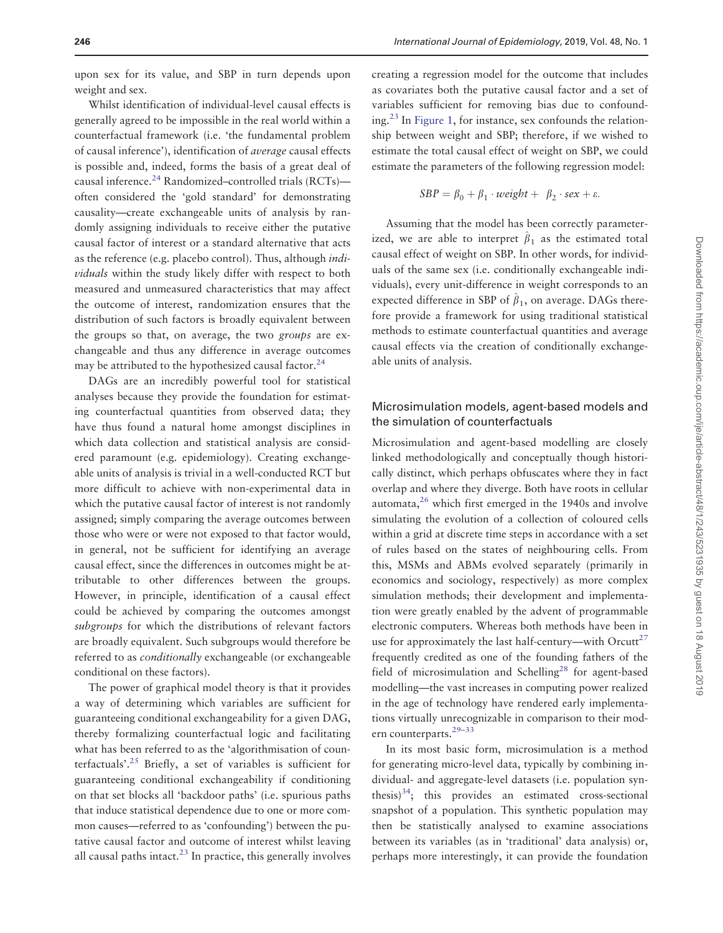<span id="page-3-0"></span>upon sex for its value, and SBP in turn depends upon weight and sex.

Whilst identification of individual-level causal effects is generally agreed to be impossible in the real world within a counterfactual framework (i.e. 'the fundamental problem of causal inference'), identification of average causal effects is possible and, indeed, forms the basis of a great deal of causal inference.[24](#page-9-0) Randomized–controlled trials (RCTs) often considered the 'gold standard' for demonstrating causality—create exchangeable units of analysis by randomly assigning individuals to receive either the putative causal factor of interest or a standard alternative that acts as the reference (e.g. placebo control). Thus, although individuals within the study likely differ with respect to both measured and unmeasured characteristics that may affect the outcome of interest, randomization ensures that the distribution of such factors is broadly equivalent between the groups so that, on average, the two groups are exchangeable and thus any difference in average outcomes may be attributed to the hypothesized causal factor.<sup>24</sup>

DAGs are an incredibly powerful tool for statistical analyses because they provide the foundation for estimating counterfactual quantities from observed data; they have thus found a natural home amongst disciplines in which data collection and statistical analysis are considered paramount (e.g. epidemiology). Creating exchangeable units of analysis is trivial in a well-conducted RCT but more difficult to achieve with non-experimental data in which the putative causal factor of interest is not randomly assigned; simply comparing the average outcomes between those who were or were not exposed to that factor would, in general, not be sufficient for identifying an average causal effect, since the differences in outcomes might be attributable to other differences between the groups. However, in principle, identification of a causal effect could be achieved by comparing the outcomes amongst subgroups for which the distributions of relevant factors are broadly equivalent. Such subgroups would therefore be referred to as conditionally exchangeable (or exchangeable conditional on these factors).

The power of graphical model theory is that it provides a way of determining which variables are sufficient for guaranteeing conditional exchangeability for a given DAG, thereby formalizing counterfactual logic and facilitating what has been referred to as the 'algorithmisation of coun-terfactuals'.<sup>[25](#page-9-0)</sup> Briefly, a set of variables is sufficient for guaranteeing conditional exchangeability if conditioning on that set blocks all 'backdoor paths' (i.e. spurious paths that induce statistical dependence due to one or more common causes—referred to as 'confounding') between the putative causal factor and outcome of interest whilst leaving all causal paths intact. $^{23}$  $^{23}$  $^{23}$  In practice, this generally involves

creating a regression model for the outcome that includes as covariates both the putative causal factor and a set of variables sufficient for removing bias due to confounding[.23](#page-9-0) In [Figure 1,](#page-2-0) for instance, sex confounds the relationship between weight and SBP; therefore, if we wished to estimate the total causal effect of weight on SBP, we could estimate the parameters of the following regression model:

$$
SBP = \beta_0 + \beta_1 \cdot weight + \beta_2 \cdot sex + \varepsilon.
$$

Assuming that the model has been correctly parameterized, we are able to interpret  $\hat{\beta}_1$  as the estimated total causal effect of weight on SBP. In other words, for individuals of the same sex (i.e. conditionally exchangeable individuals), every unit-difference in weight corresponds to an expected difference in SBP of  $\hat{\beta}_1$ , on average. DAGs therefore provide a framework for using traditional statistical methods to estimate counterfactual quantities and average causal effects via the creation of conditionally exchangeable units of analysis.

## Microsimulation models, agent-based models and the simulation of counterfactuals

Microsimulation and agent-based modelling are closely linked methodologically and conceptually though historically distinct, which perhaps obfuscates where they in fact overlap and where they diverge. Both have roots in cellular automata,[26](#page-9-0) which first emerged in the 1940s and involve simulating the evolution of a collection of coloured cells within a grid at discrete time steps in accordance with a set of rules based on the states of neighbouring cells. From this, MSMs and ABMs evolved separately (primarily in economics and sociology, respectively) as more complex simulation methods; their development and implementation were greatly enabled by the advent of programmable electronic computers. Whereas both methods have been in use for approximately the last half-century—with Orcutt<sup>27</sup> frequently credited as one of the founding fathers of the field of microsimulation and Schelling<sup>[28](#page-9-0)</sup> for agent-based modelling—the vast increases in computing power realized in the age of technology have rendered early implementations virtually unrecognizable in comparison to their modern counterparts.[29–33](#page-9-0)

In its most basic form, microsimulation is a method for generating micro-level data, typically by combining individual- and aggregate-level datasets (i.e. population synthesis) $34$ ; this provides an estimated cross-sectional snapshot of a population. This synthetic population may then be statistically analysed to examine associations between its variables (as in 'traditional' data analysis) or, perhaps more interestingly, it can provide the foundation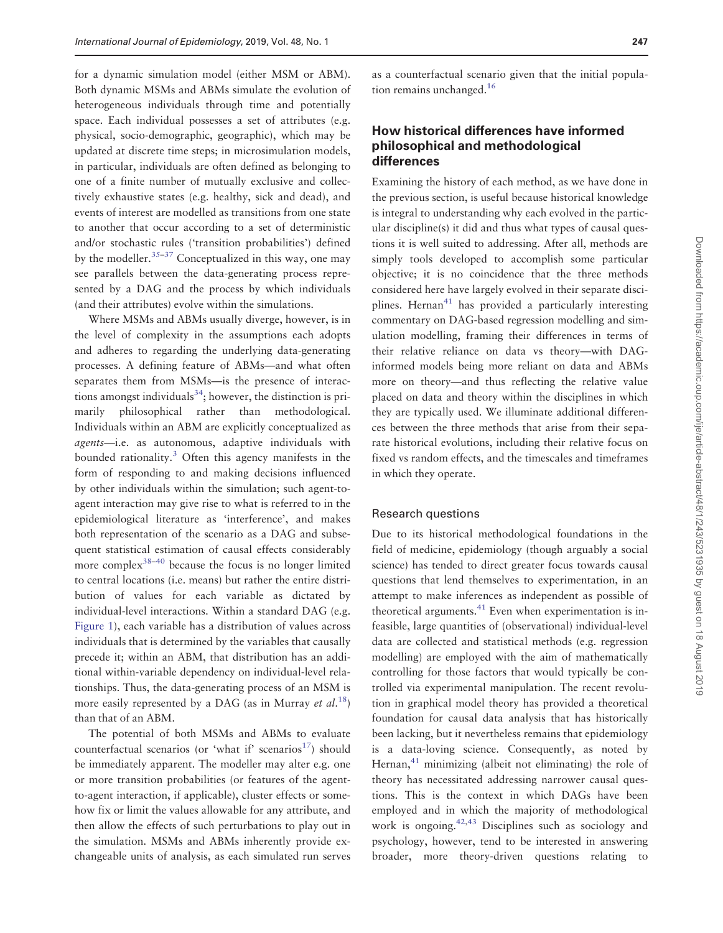<span id="page-4-0"></span>for a dynamic simulation model (either MSM or ABM). Both dynamic MSMs and ABMs simulate the evolution of heterogeneous individuals through time and potentially space. Each individual possesses a set of attributes (e.g. physical, socio-demographic, geographic), which may be updated at discrete time steps; in microsimulation models, in particular, individuals are often defined as belonging to one of a finite number of mutually exclusive and collectively exhaustive states (e.g. healthy, sick and dead), and events of interest are modelled as transitions from one state to another that occur according to a set of deterministic and/or stochastic rules ('transition probabilities') defined by the modeller.  $35-37$  Conceptualized in this way, one may see parallels between the data-generating process represented by a DAG and the process by which individuals (and their attributes) evolve within the simulations.

Where MSMs and ABMs usually diverge, however, is in the level of complexity in the assumptions each adopts and adheres to regarding the underlying data-generating processes. A defining feature of ABMs—and what often separates them from MSMs—is the presence of interactions amongst individuals<sup>34</sup>; however, the distinction is primarily philosophical rather than methodological. Individuals within an ABM are explicitly conceptualized as agents—i.e. as autonomous, adaptive individuals with bounded rationality[.3](#page-9-0) Often this agency manifests in the form of responding to and making decisions influenced by other individuals within the simulation; such agent-toagent interaction may give rise to what is referred to in the epidemiological literature as 'interference', and makes both representation of the scenario as a DAG and subsequent statistical estimation of causal effects considerably more complex<sup>38-40</sup> because the focus is no longer limited to central locations (i.e. means) but rather the entire distribution of values for each variable as dictated by individual-level interactions. Within a standard DAG (e.g. [Figure 1](#page-2-0)), each variable has a distribution of values across individuals that is determined by the variables that causally precede it; within an ABM, that distribution has an additional within-variable dependency on individual-level relationships. Thus, the data-generating process of an MSM is more easily represented by a DAG (as in Murray et  $al.^{18}$  $al.^{18}$  $al.^{18}$ ) than that of an ABM.

The potential of both MSMs and ABMs to evaluate counterfactual scenarios (or 'what if' scenarios<sup>17</sup>) should be immediately apparent. The modeller may alter e.g. one or more transition probabilities (or features of the agentto-agent interaction, if applicable), cluster effects or somehow fix or limit the values allowable for any attribute, and then allow the effects of such perturbations to play out in the simulation. MSMs and ABMs inherently provide exchangeable units of analysis, as each simulated run serves as a counterfactual scenario given that the initial population remains unchanged.[16](#page-9-0)

### How historical differences have informed philosophical and methodological differences

Examining the history of each method, as we have done in the previous section, is useful because historical knowledge is integral to understanding why each evolved in the particular discipline(s) it did and thus what types of causal questions it is well suited to addressing. After all, methods are simply tools developed to accomplish some particular objective; it is no coincidence that the three methods considered here have largely evolved in their separate disciplines. Hernan<sup>41</sup> has provided a particularly interesting commentary on DAG-based regression modelling and simulation modelling, framing their differences in terms of their relative reliance on data vs theory—with DAGinformed models being more reliant on data and ABMs more on theory—and thus reflecting the relative value placed on data and theory within the disciplines in which they are typically used. We illuminate additional differences between the three methods that arise from their separate historical evolutions, including their relative focus on fixed vs random effects, and the timescales and timeframes in which they operate.

### Research questions

Due to its historical methodological foundations in the field of medicine, epidemiology (though arguably a social science) has tended to direct greater focus towards causal questions that lend themselves to experimentation, in an attempt to make inferences as independent as possible of theoretical arguments. $41$  Even when experimentation is infeasible, large quantities of (observational) individual-level data are collected and statistical methods (e.g. regression modelling) are employed with the aim of mathematically controlling for those factors that would typically be controlled via experimental manipulation. The recent revolution in graphical model theory has provided a theoretical foundation for causal data analysis that has historically been lacking, but it nevertheless remains that epidemiology is a data-loving science. Consequently, as noted by Hernan, $41$  minimizing (albeit not eliminating) the role of theory has necessitated addressing narrower causal questions. This is the context in which DAGs have been employed and in which the majority of methodological work is ongoing. $42,43$  Disciplines such as sociology and psychology, however, tend to be interested in answering broader, more theory-driven questions relating to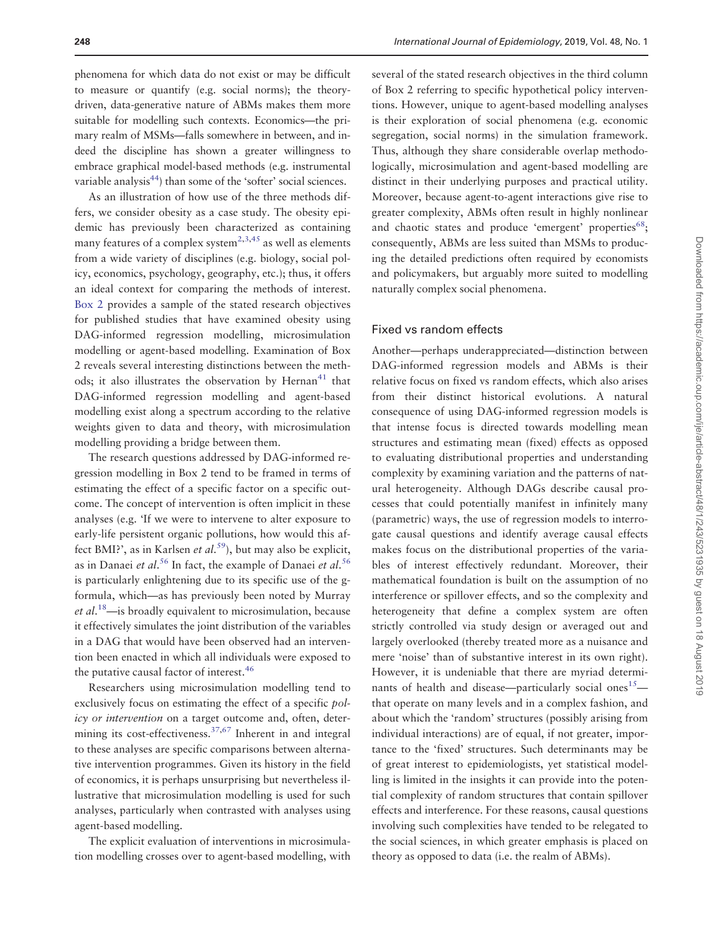<span id="page-5-0"></span>phenomena for which data do not exist or may be difficult to measure or quantify (e.g. social norms); the theorydriven, data-generative nature of ABMs makes them more suitable for modelling such contexts. Economics—the primary realm of MSMs—falls somewhere in between, and indeed the discipline has shown a greater willingness to embrace graphical model-based methods (e.g. instrumental variable analysis<sup>44</sup>) than some of the 'softer' social sciences.

As an illustration of how use of the three methods differs, we consider obesity as a case study. The obesity epidemic has previously been characterized as containing many features of a complex system<sup>[2,3,45](#page-9-0)</sup> as well as elements from a wide variety of disciplines (e.g. biology, social policy, economics, psychology, geography, etc.); thus, it offers an ideal context for comparing the methods of interest. [Box 2](#page-6-0) provides a sample of the stated research objectives for published studies that have examined obesity using DAG-informed regression modelling, microsimulation modelling or agent-based modelling. Examination of Box 2 reveals several interesting distinctions between the methods; it also illustrates the observation by Hernan<sup>41</sup> that DAG-informed regression modelling and agent-based modelling exist along a spectrum according to the relative weights given to data and theory, with microsimulation modelling providing a bridge between them.

The research questions addressed by DAG-informed regression modelling in Box 2 tend to be framed in terms of estimating the effect of a specific factor on a specific outcome. The concept of intervention is often implicit in these analyses (e.g. 'If we were to intervene to alter exposure to early-life persistent organic pollutions, how would this af-fect BMI?', as in Karlsen et al.<sup>[59](#page-10-0)</sup>), but may also be explicit, as in Danaei et al.<sup>[56](#page-10-0)</sup> In fact, the example of Danaei et al.<sup>56</sup> is particularly enlightening due to its specific use of the gformula, which—as has previously been noted by Murray et al.<sup>[18](#page-9-0)</sup>—is broadly equivalent to microsimulation, because it effectively simulates the joint distribution of the variables in a DAG that would have been observed had an intervention been enacted in which all individuals were exposed to the putative causal factor of interest.<sup>[46](#page-10-0)</sup>

Researchers using microsimulation modelling tend to exclusively focus on estimating the effect of a specific policy or intervention on a target outcome and, often, deter-mining its cost-effectiveness.<sup>[37](#page-9-0)[,67](#page-10-0)</sup> Inherent in and integral to these analyses are specific comparisons between alternative intervention programmes. Given its history in the field of economics, it is perhaps unsurprising but nevertheless illustrative that microsimulation modelling is used for such analyses, particularly when contrasted with analyses using agent-based modelling.

The explicit evaluation of interventions in microsimulation modelling crosses over to agent-based modelling, with several of the stated research objectives in the third column of Box 2 referring to specific hypothetical policy interventions. However, unique to agent-based modelling analyses is their exploration of social phenomena (e.g. economic segregation, social norms) in the simulation framework. Thus, although they share considerable overlap methodologically, microsimulation and agent-based modelling are distinct in their underlying purposes and practical utility. Moreover, because agent-to-agent interactions give rise to greater complexity, ABMs often result in highly nonlinear and chaotic states and produce 'emergent' properties<sup>68</sup>; consequently, ABMs are less suited than MSMs to producing the detailed predictions often required by economists and policymakers, but arguably more suited to modelling naturally complex social phenomena.

#### Fixed vs random effects

Another—perhaps underappreciated—distinction between DAG-informed regression models and ABMs is their relative focus on fixed vs random effects, which also arises from their distinct historical evolutions. A natural consequence of using DAG-informed regression models is that intense focus is directed towards modelling mean structures and estimating mean (fixed) effects as opposed to evaluating distributional properties and understanding complexity by examining variation and the patterns of natural heterogeneity. Although DAGs describe causal processes that could potentially manifest in infinitely many (parametric) ways, the use of regression models to interrogate causal questions and identify average causal effects makes focus on the distributional properties of the variables of interest effectively redundant. Moreover, their mathematical foundation is built on the assumption of no interference or spillover effects, and so the complexity and heterogeneity that define a complex system are often strictly controlled via study design or averaged out and largely overlooked (thereby treated more as a nuisance and mere 'noise' than of substantive interest in its own right). However, it is undeniable that there are myriad determinants of health and disease—particularly social ones<sup>15</sup> that operate on many levels and in a complex fashion, and about which the 'random' structures (possibly arising from individual interactions) are of equal, if not greater, importance to the 'fixed' structures. Such determinants may be of great interest to epidemiologists, yet statistical modelling is limited in the insights it can provide into the potential complexity of random structures that contain spillover effects and interference. For these reasons, causal questions involving such complexities have tended to be relegated to the social sciences, in which greater emphasis is placed on theory as opposed to data (i.e. the realm of ABMs).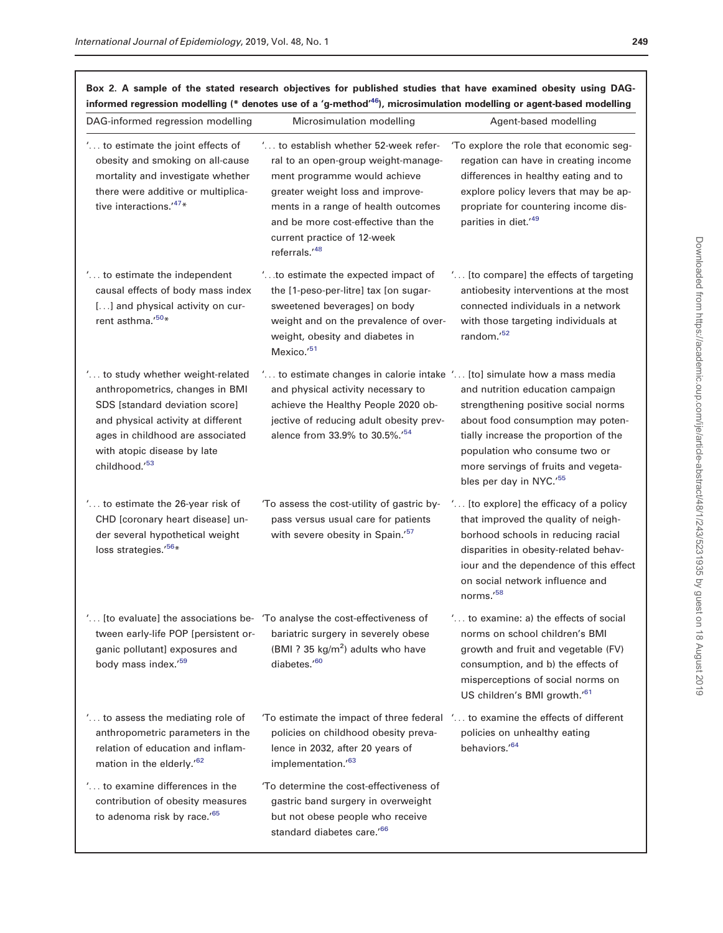| DAG-informed regression modelling                                                                                                                                                                                                | Microsimulation modelling                                                                                                                                                                                                                                                      | Agent-based modelling                                                                                                                                                                                                                                    |
|----------------------------------------------------------------------------------------------------------------------------------------------------------------------------------------------------------------------------------|--------------------------------------------------------------------------------------------------------------------------------------------------------------------------------------------------------------------------------------------------------------------------------|----------------------------------------------------------------------------------------------------------------------------------------------------------------------------------------------------------------------------------------------------------|
| ' to estimate the joint effects of<br>obesity and smoking on all-cause<br>mortality and investigate whether<br>there were additive or multiplica-<br>tive interactions.'47*                                                      | ' to establish whether 52-week refer-<br>ral to an open-group weight-manage-<br>ment programme would achieve<br>greater weight loss and improve-<br>ments in a range of health outcomes<br>and be more cost-effective than the<br>current practice of 12-week<br>referrals.'48 | 'To explore the role that economic seg-<br>regation can have in creating income<br>differences in healthy eating and to<br>explore policy levers that may be ap-<br>propriate for countering income dis-<br>parities in diet.'49                         |
| ' to estimate the independent<br>causal effects of body mass index<br>[] and physical activity on cur-<br>rent asthma.'50*                                                                                                       | 'to estimate the expected impact of<br>the [1-peso-per-litre] tax [on sugar-<br>sweetened beverages] on body<br>weight and on the prevalence of over-<br>weight, obesity and diabetes in<br>Mexico.'51                                                                         | ' [to compare] the effects of targeting<br>antiobesity interventions at the most<br>connected individuals in a network<br>with those targeting individuals at<br>random. <sup>'52</sup>                                                                  |
| ' to study whether weight-related<br>anthropometrics, changes in BMI<br>SDS [standard deviation score]<br>and physical activity at different<br>ages in childhood are associated<br>with atopic disease by late<br>childhood.'53 | ' to estimate changes in calorie intake ' [to] simulate how a mass media<br>and physical activity necessary to<br>achieve the Healthy People 2020 ob-<br>jective of reducing adult obesity prev-<br>alence from 33.9% to 30.5%. <sup>54</sup>                                  | and nutrition education campaign<br>strengthening positive social norms<br>about food consumption may poten-<br>tially increase the proportion of the<br>population who consume two or<br>more servings of fruits and vegeta-<br>bles per day in NYC.'55 |
| ' to estimate the 26-year risk of<br>CHD [coronary heart disease] un-<br>der several hypothetical weight<br>loss strategies. <sup>'56*</sup>                                                                                     | 'To assess the cost-utility of gastric by-<br>pass versus usual care for patients<br>with severe obesity in Spain.' <sup>57</sup>                                                                                                                                              | ' [to explore] the efficacy of a policy<br>that improved the quality of neigh-<br>borhood schools in reducing racial<br>disparities in obesity-related behav-<br>iour and the dependence of this effect<br>on social network influence and<br>norms.'58  |
| ganic pollutant] exposures and<br>body mass index. <sup>59</sup>                                                                                                                                                                 | ' [to evaluate] the associations be- 'To analyse the cost-effectiveness of<br>tween early-life POP [persistent or- bariatric surgery in severely obese<br>(BMI ? 35 kg/m <sup>2</sup> ) adults who have<br>diabetes.'60                                                        | ' to examine: a) the effects of social<br>norms on school children's BMI<br>growth and fruit and vegetable (FV)<br>consumption, and b) the effects of<br>misperceptions of social norms on<br>US children's BMI growth.'61                               |
| ' to assess the mediating role of<br>anthropometric parameters in the<br>relation of education and inflam-<br>mation in the elderly.'62                                                                                          | 'To estimate the impact of three federal<br>policies on childhood obesity preva-<br>lence in 2032, after 20 years of<br>implementation. <sup>63</sup>                                                                                                                          | ' to examine the effects of different<br>policies on unhealthy eating<br>behaviors.' <sup>64</sup>                                                                                                                                                       |
| ' to examine differences in the<br>contribution of obesity measures<br>to adenoma risk by race.'65                                                                                                                               | 'To determine the cost-effectiveness of<br>gastric band surgery in overweight<br>but not obese people who receive<br>standard diabetes care.'66                                                                                                                                |                                                                                                                                                                                                                                                          |

<span id="page-6-0"></span>Box 2. A sample of the stated research objectives for published studies that have examined obesity using DAGinformed regression modelling (\* denotes use of a 'g-method['46\)](#page-10-0), microsimulation modelling or agent-based modelling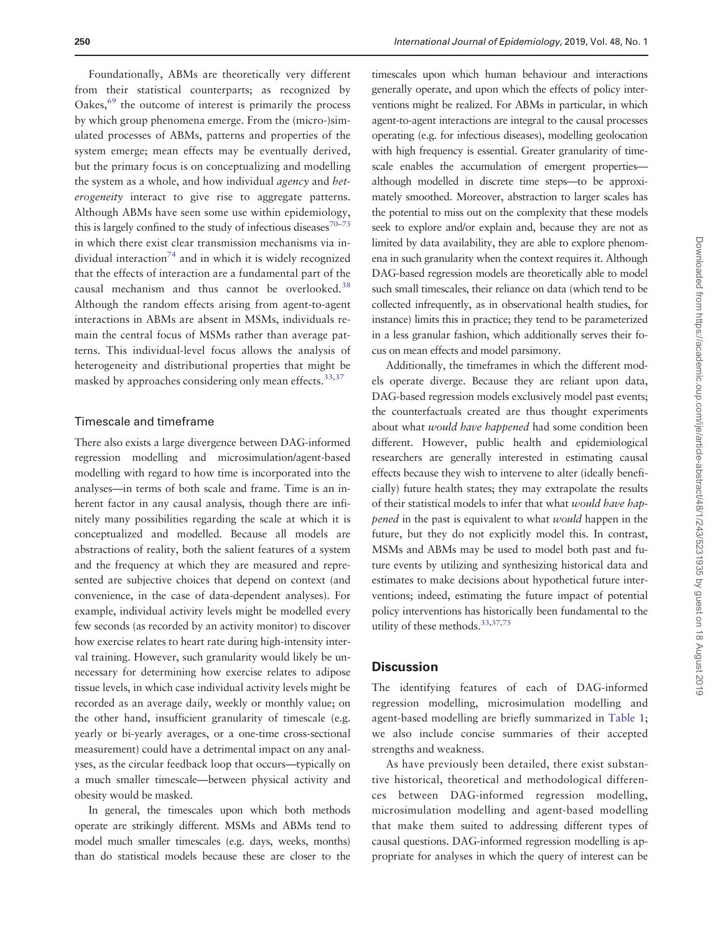<span id="page-7-0"></span>Foundationally, ABMs are theoretically very different from their statistical counterparts; as recognized by Oakes,  $69$  the outcome of interest is primarily the process by which group phenomena emerge. From the (micro-)simulated processes of ABMs, patterns and properties of the system emerge; mean effects may be eventually derived, but the primary focus is on conceptualizing and modelling the system as a whole, and how individual agency and heterogeneity interact to give rise to aggregate patterns. Although ABMs have seen some use within epidemiology, this is largely confined to the study of infectious diseases<sup>70–[73](#page-10-0)</sup> in which there exist clear transmission mechanisms via in-dividual interaction<sup>[74](#page-10-0)</sup> and in which it is widely recognized that the effects of interaction are a fundamental part of the causal mechanism and thus cannot be overlooked.<sup>38</sup> Although the random effects arising from agent-to-agent interactions in ABMs are absent in MSMs, individuals remain the central focus of MSMs rather than average patterns. This individual-level focus allows the analysis of heterogeneity and distributional properties that might be masked by approaches considering only mean effects.<sup>33,[37](#page-9-0)</sup>

#### Timescale and timeframe

There also exists a large divergence between DAG-informed regression modelling and microsimulation/agent-based modelling with regard to how time is incorporated into the analyses—in terms of both scale and frame. Time is an inherent factor in any causal analysis, though there are infinitely many possibilities regarding the scale at which it is conceptualized and modelled. Because all models are abstractions of reality, both the salient features of a system and the frequency at which they are measured and represented are subjective choices that depend on context (and convenience, in the case of data-dependent analyses). For example, individual activity levels might be modelled every few seconds (as recorded by an activity monitor) to discover how exercise relates to heart rate during high-intensity interval training. However, such granularity would likely be unnecessary for determining how exercise relates to adipose tissue levels, in which case individual activity levels might be recorded as an average daily, weekly or monthly value; on the other hand, insufficient granularity of timescale (e.g. yearly or bi-yearly averages, or a one-time cross-sectional measurement) could have a detrimental impact on any analyses, as the circular feedback loop that occurs—typically on a much smaller timescale—between physical activity and obesity would be masked.

In general, the timescales upon which both methods operate are strikingly different. MSMs and ABMs tend to model much smaller timescales (e.g. days, weeks, months) than do statistical models because these are closer to the

timescales upon which human behaviour and interactions generally operate, and upon which the effects of policy interventions might be realized. For ABMs in particular, in which agent-to-agent interactions are integral to the causal processes operating (e.g. for infectious diseases), modelling geolocation with high frequency is essential. Greater granularity of timescale enables the accumulation of emergent properties although modelled in discrete time steps—to be approximately smoothed. Moreover, abstraction to larger scales has the potential to miss out on the complexity that these models seek to explore and/or explain and, because they are not as limited by data availability, they are able to explore phenomena in such granularity when the context requires it. Although DAG-based regression models are theoretically able to model such small timescales, their reliance on data (which tend to be collected infrequently, as in observational health studies, for instance) limits this in practice; they tend to be parameterized in a less granular fashion, which additionally serves their focus on mean effects and model parsimony.

Additionally, the timeframes in which the different models operate diverge. Because they are reliant upon data, DAG-based regression models exclusively model past events; the counterfactuals created are thus thought experiments about what *would have happened* had some condition been different. However, public health and epidemiological researchers are generally interested in estimating causal effects because they wish to intervene to alter (ideally beneficially) future health states; they may extrapolate the results of their statistical models to infer that what would have hap*pened* in the past is equivalent to what *would* happen in the future, but they do not explicitly model this. In contrast, MSMs and ABMs may be used to model both past and future events by utilizing and synthesizing historical data and estimates to make decisions about hypothetical future interventions; indeed, estimating the future impact of potential policy interventions has historically been fundamental to the utility of these methods. $33,37,75$  $33,37,75$ 

#### **Discussion**

The identifying features of each of DAG-informed regression modelling, microsimulation modelling and agent-based modelling are briefly summarized in [Table 1;](#page-8-0) we also include concise summaries of their accepted strengths and weakness.

As have previously been detailed, there exist substantive historical, theoretical and methodological differences between DAG-informed regression modelling, microsimulation modelling and agent-based modelling that make them suited to addressing different types of causal questions. DAG-informed regression modelling is appropriate for analyses in which the query of interest can be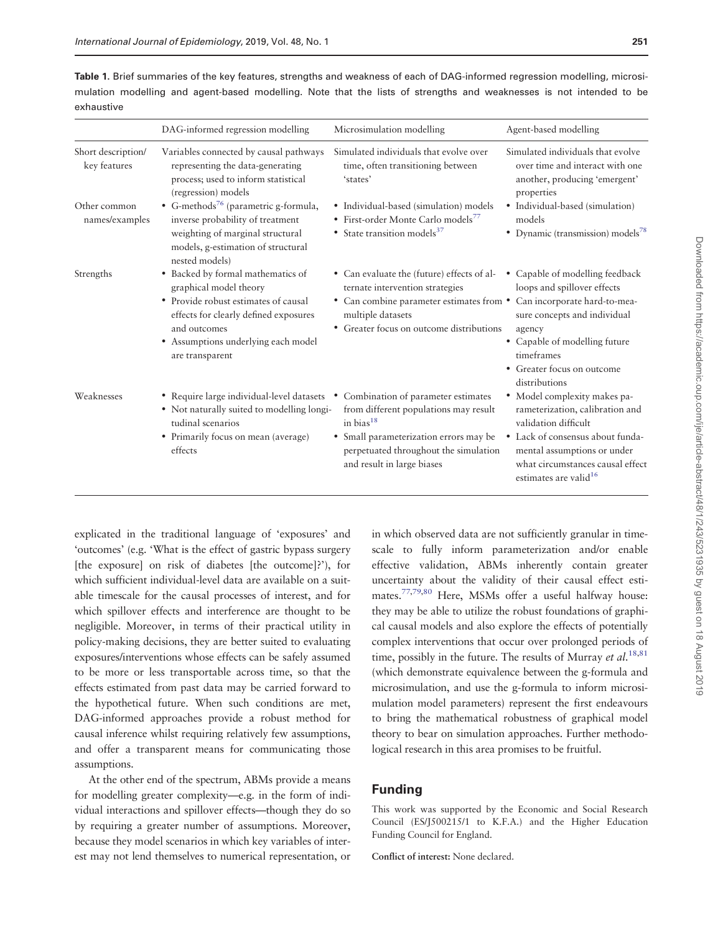|                                    | DAG-informed regression modelling                                                                                                                                                                                         | Microsimulation modelling                                                                                                                                                                                           | Agent-based modelling                                                                                                                                                                                                                        |
|------------------------------------|---------------------------------------------------------------------------------------------------------------------------------------------------------------------------------------------------------------------------|---------------------------------------------------------------------------------------------------------------------------------------------------------------------------------------------------------------------|----------------------------------------------------------------------------------------------------------------------------------------------------------------------------------------------------------------------------------------------|
| Short description/<br>key features | Variables connected by causal pathways<br>representing the data-generating<br>process; used to inform statistical<br>(regression) models                                                                                  | Simulated individuals that evolve over<br>time, often transitioning between<br>'states'                                                                                                                             | Simulated individuals that evolve<br>over time and interact with one<br>another, producing 'emergent'<br>properties                                                                                                                          |
| Other common<br>names/examples     | • G-methods <sup>76</sup> (parametric g-formula,<br>inverse probability of treatment<br>weighting of marginal structural<br>models, g-estimation of structural<br>nested models)                                          | • Individual-based (simulation) models<br>• First-order Monte Carlo models <sup>77</sup><br>• State transition models $37$                                                                                          | • Individual-based (simulation)<br>models<br>• Dynamic (transmission) models <sup>78</sup>                                                                                                                                                   |
| Strengths                          | Backed by formal mathematics of<br>٠<br>graphical model theory<br>• Provide robust estimates of causal<br>effects for clearly defined exposures<br>and outcomes<br>• Assumptions underlying each model<br>are transparent | • Can evaluate the (future) effects of al-<br>ternate intervention strategies<br>• Can combine parameter estimates from •<br>multiple datasets<br>• Greater focus on outcome distributions                          | Capable of modelling feedback<br>٠<br>loops and spillover effects<br>Can incorporate hard-to-mea-<br>sure concepts and individual<br>agency<br>• Capable of modelling future<br>timeframes<br>Greater focus on outcome<br>٠<br>distributions |
| Weaknesses                         | • Require large individual-level datasets<br>• Not naturally suited to modelling longi-<br>tudinal scenarios<br>Primarily focus on mean (average)<br>effects                                                              | Combination of parameter estimates<br>٠<br>from different populations may result<br>in $bias^{18}$<br>• Small parameterization errors may be<br>perpetuated throughout the simulation<br>and result in large biases | • Model complexity makes pa-<br>rameterization, calibration and<br>validation difficult<br>Lack of consensus about funda-<br>mental assumptions or under<br>what circumstances causal effect<br>estimates are valid <sup>16</sup>            |

<span id="page-8-0"></span>Table 1. Brief summaries of the key features, strengths and weakness of each of DAG-informed regression modelling, microsimulation modelling and agent-based modelling. Note that the lists of strengths and weaknesses is not intended to be exhaustive

explicated in the traditional language of 'exposures' and 'outcomes' (e.g. 'What is the effect of gastric bypass surgery [the exposure] on risk of diabetes [the outcome]?'), for which sufficient individual-level data are available on a suitable timescale for the causal processes of interest, and for which spillover effects and interference are thought to be negligible. Moreover, in terms of their practical utility in policy-making decisions, they are better suited to evaluating exposures/interventions whose effects can be safely assumed to be more or less transportable across time, so that the effects estimated from past data may be carried forward to the hypothetical future. When such conditions are met, DAG-informed approaches provide a robust method for causal inference whilst requiring relatively few assumptions, and offer a transparent means for communicating those assumptions.

At the other end of the spectrum, ABMs provide a means for modelling greater complexity—e.g. in the form of individual interactions and spillover effects—though they do so by requiring a greater number of assumptions. Moreover, because they model scenarios in which key variables of interest may not lend themselves to numerical representation, or in which observed data are not sufficiently granular in timescale to fully inform parameterization and/or enable effective validation, ABMs inherently contain greater uncertainty about the validity of their causal effect estimates[.77,79,80](#page-10-0) Here, MSMs offer a useful halfway house: they may be able to utilize the robust foundations of graphical causal models and also explore the effects of potentially complex interventions that occur over prolonged periods of time, possibly in the future. The results of Murray et al.<sup>[18,](#page-9-0)[81](#page-10-0)</sup> (which demonstrate equivalence between the g-formula and microsimulation, and use the g-formula to inform microsimulation model parameters) represent the first endeavours to bring the mathematical robustness of graphical model theory to bear on simulation approaches. Further methodological research in this area promises to be fruitful.

## Funding

This work was supported by the Economic and Social Research Council (ES/J500215/1 to K.F.A.) and the Higher Education Funding Council for England.

Conflict of interest: None declared.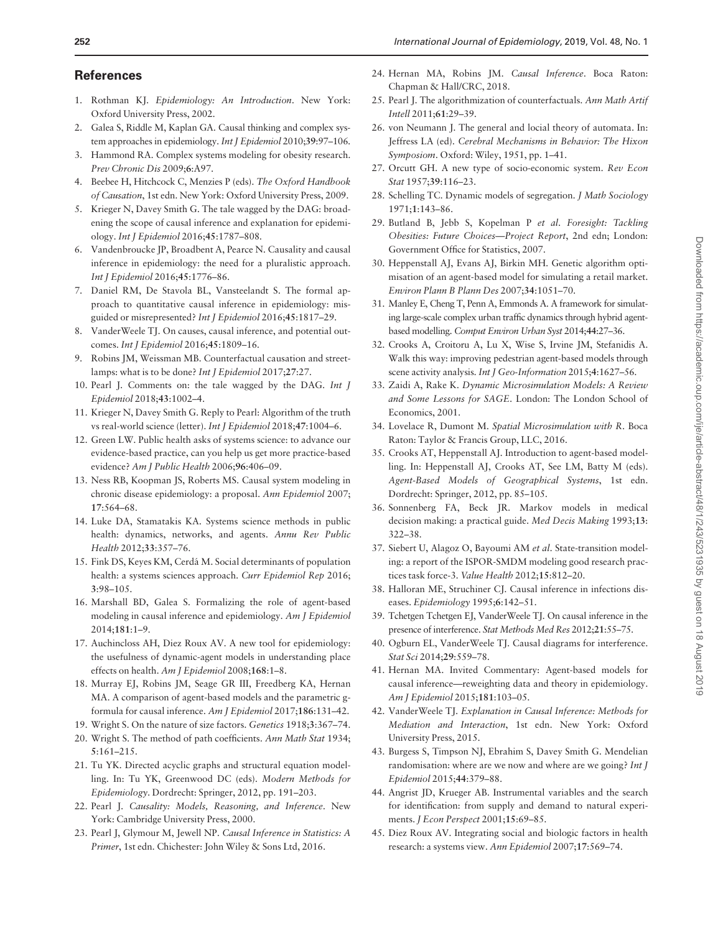### <span id="page-9-0"></span>**References**

- [1.](#page-1-0) Rothman KJ. Epidemiology: An Introduction. New York: Oxford University Press, 2002.
- [2.](#page-1-0) Galea S, Riddle M, Kaplan GA. Causal thinking and complex system approaches in epidemiology. Int J Epidemiol 2010;39:97-106.
- [3.](#page-1-0) Hammond RA. Complex systems modeling for obesity research. Prev Chronic Dis 2009;6:A97.
- [4.](#page-1-0) Beebee H, Hitchcock C, Menzies P (eds). The Oxford Handbook of Causation, 1st edn. New York: Oxford University Press, 2009.
- [5.](#page-1-0) Krieger N, Davey Smith G. The tale wagged by the DAG: broadening the scope of causal inference and explanation for epidemiology. Int J Epidemiol 2016;45:1787–808.
- [6.](#page-1-0) Vandenbroucke JP, Broadbent A, Pearce N. Causality and causal inference in epidemiology: the need for a pluralistic approach. Int J Epidemiol 2016;45:1776–86.
- 7. Daniel RM, De Stavola BL, Vansteelandt S. The formal approach to quantitative causal inference in epidemiology: misguided or misrepresented? Int J Epidemiol 2016;45:1817–29.
- 8. VanderWeele TJ. On causes, causal inference, and potential outcomes. Int J Epidemiol 2016;45:1809–16.
- 9. Robins JM, Weissman MB. Counterfactual causation and streetlamps: what is to be done? Int J Epidemiol 2017;27:27.
- 10. Pearl J. Comments on: the tale wagged by the DAG. Int J Epidemiol 2018;43:1002–4.
- [11.](#page-1-0) Krieger N, Davey Smith G. Reply to Pearl: Algorithm of the truth vs real-world science (letter). Int J Epidemiol 2018;47:1004–6.
- 12. Green LW. Public health asks of systems science: to advance our evidence-based practice, can you help us get more practice-based evidence? Am J Public Health 2006;96:406-09.
- [13.](#page-2-0) Ness RB, Koopman JS, Roberts MS. Causal system modeling in chronic disease epidemiology: a proposal. Ann Epidemiol 2007; 17:564–68.
- 14. Luke DA, Stamatakis KA. Systems science methods in public health: dynamics, networks, and agents. Annu Rev Public Health 2012;33:357–76.
- [15.](#page-2-0) Fink DS, Keyes KM, Cerda´ M. Social determinants of population health: a systems sciences approach. Curr Epidemiol Rep 2016; 3:98–105.
- [16.](#page-4-0) Marshall BD, Galea S. Formalizing the role of agent-based modeling in causal inference and epidemiology. Am J Epidemiol 2014;181:1–9.
- [17.](#page-2-0) Auchincloss AH, Diez Roux AV. A new tool for epidemiology: the usefulness of dynamic-agent models in understanding place effects on health. Am J Epidemiol 2008;168:1–8.
- [18.](#page-1-0) Murray EJ, Robins JM, Seage GR III, Freedberg KA, Hernan MA. A comparison of agent-based models and the parametric gformula for causal inference. Am J Epidemiol 2017;186:131–42.
- [19.](#page-2-0) Wright S. On the nature of size factors. Genetics 1918;3:367–74.
- [20.](#page-2-0) Wright S. The method of path coefficients. Ann Math Stat 1934; 5:161–215.
- [21.](#page-2-0) Tu YK. Directed acyclic graphs and structural equation modelling. In: Tu YK, Greenwood DC (eds). Modern Methods for Epidemiology. Dordrecht: Springer, 2012, pp. 191–203.
- [22.](#page-2-0) Pearl J. Causality: Models, Reasoning, and Inference. New York: Cambridge University Press, 2000.
- [23.](#page-2-0) Pearl J, Glymour M, Jewell NP. Causal Inference in Statistics: A Primer, 1st edn. Chichester: John Wiley & Sons Ltd, 2016.
- [24.](#page-2-0) Hernan MA, Robins JM. Causal Inference. Boca Raton: Chapman & Hall/CRC, 2018.
- [25.](#page-3-0) Pearl J. The algorithmization of counterfactuals. Ann Math Artif Intell 2011;61:29–39.
- [26.](#page-3-0) von Neumann J. The general and locial theory of automata. In: Jeffress LA (ed). Cerebral Mechanisms in Behavior: The Hixon Symposiom. Oxford: Wiley, 1951, pp. 1–41.
- [27.](#page-3-0) Orcutt GH. A new type of socio-economic system. Rev Econ Stat 1957;39:116–23.
- [28.](#page-3-0) Schelling TC. Dynamic models of segregation. J Math Sociology 1971;1:143–86.
- 29. Butland B, Jebb S, Kopelman P et al. Foresight: Tackling Obesities: Future Choices—Project Report, 2nd edn; London: Government Office for Statistics, 2007.
- 30. Heppenstall AJ, Evans AJ, Birkin MH. Genetic algorithm optimisation of an agent-based model for simulating a retail market. Environ Plann B Plann Des 2007;34:1051–70.
- 31. Manley E, Cheng T, Penn A, Emmonds A. A framework for simulating large-scale complex urban traffic dynamics through hybrid agentbased modelling. Comput Environ Urban Syst 2014;44:27–36.
- 32. Crooks A, Croitoru A, Lu X, Wise S, Irvine JM, Stefanidis A. Walk this way: improving pedestrian agent-based models through scene activity analysis. Int J Geo-Information 2015;4:1627-56.
- [33.](#page-7-0) Zaidi A, Rake K. Dynamic Microsimulation Models: A Review and Some Lessons for SAGE. London: The London School of Economics, 2001.
- [34.](#page-3-0) Lovelace R, Dumont M. Spatial Microsimulation with R. Boca Raton: Taylor & Francis Group, LLC, 2016.
- 35. Crooks AT, Heppenstall AJ. Introduction to agent-based modelling. In: Heppenstall AJ, Crooks AT, See LM, Batty M (eds). Agent-Based Models of Geographical Systems, 1st edn. Dordrecht: Springer, 2012, pp. 85–105.
- 36. Sonnenberg FA, Beck JR. Markov models in medical decision making: a practical guide. Med Decis Making 1993;13: 322–38.
- [37.](#page-5-0) Siebert U, Alagoz O, Bayoumi AM et al. State-transition modeling: a report of the ISPOR-SMDM modeling good research practices task force-3. Value Health 2012;15:812–20.
- [38.](#page-7-0) Halloran ME, Struchiner CJ. Causal inference in infections diseases. Epidemiology 1995;6:142–51.
- 39. Tchetgen Tchetgen EJ, VanderWeele TJ. On causal inference in the presence of interference. Stat Methods Med Res 2012;21:55–75.
- 40. Ogburn EL, VanderWeele TJ. Causal diagrams for interference. Stat Sci 2014;29:559–78.
- [41.](#page-4-0) Hernan MA. Invited Commentary: Agent-based models for causal inference—reweighting data and theory in epidemiology. Am J Epidemiol 2015;181:103–05.
- [42.](#page-4-0) VanderWeele TJ. Explanation in Causal Inference: Methods for Mediation and Interaction, 1st edn. New York: Oxford University Press, 2015.
- [43.](#page-4-0) Burgess S, Timpson NJ, Ebrahim S, Davey Smith G. Mendelian randomisation: where are we now and where are we going? Int J Epidemiol 2015;44:379–88.
- [44.](#page-5-0) Angrist JD, Krueger AB. Instrumental variables and the search for identification: from supply and demand to natural experiments. J Econ Perspect 2001;15:69–85.
- [45.](#page-5-0) Diez Roux AV. Integrating social and biologic factors in health research: a systems view. Ann Epidemiol 2007;17:569–74.